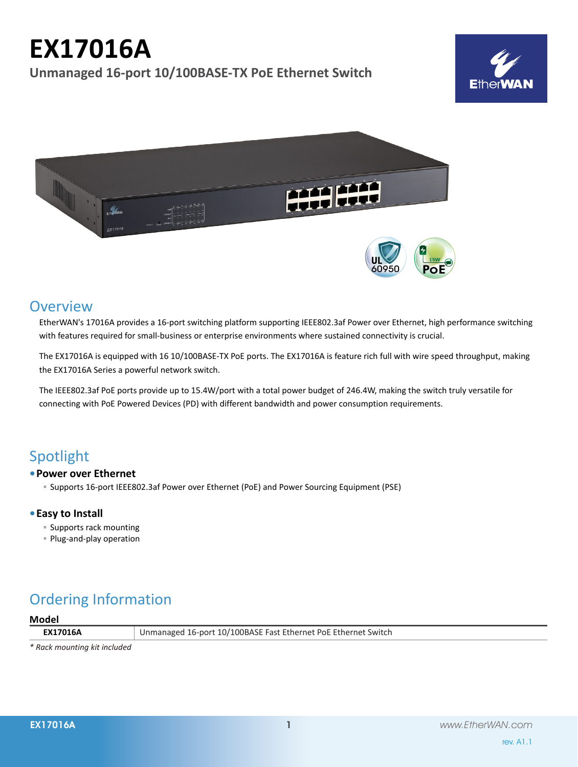# **EX17016A**

**Unmanaged 16-port 10/100BASE-TX PoE Ethernet Switch**





### **Overview**

EtherWAN's 17016A provides a 16-port switching platform supporting IEEE802.3af Power over Ethernet, high performance switching with features required for small-business or enterprise environments where sustained connectivity is crucial.

The EX17016A is equipped with 16 10/100BASE-TX PoE ports. The EX17016A is feature rich full with wire speed throughput, making the EX17016A Series a powerful network switch.

The IEEE802.3af PoE ports provide up to 15.4W/port with a total power budget of 246.4W, making the switch truly versatile for connecting with PoE Powered Devices (PD) with different bandwidth and power consumption requirements.

### Spotlight

#### **• Power over Ethernet**

◦ Supports 16-port IEEE802.3af Power over Ethernet (PoE) and Power Sourcing Equipment (PSE)

#### **• Easy to Install**

- Supports rack mounting
- Plug-and-play operation

## Ordering Information

#### **Model**

**EX17016A** Unmanaged 16-port 10/100BASE Fast Ethernet PoE Ethernet Switch

*\* Rack mounting kit included*